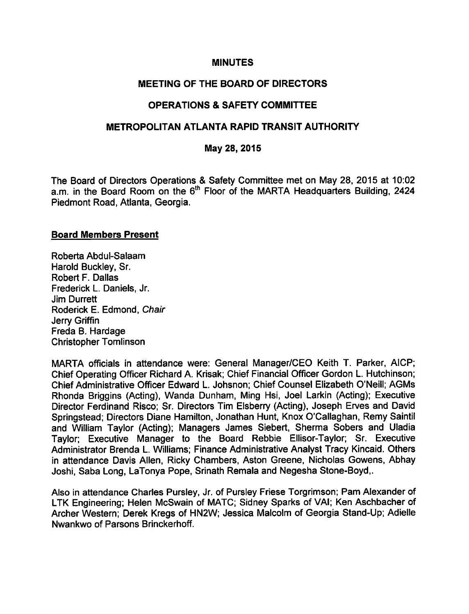#### MINUTES

### MEETING OF THE BOARD OF DIRECTORS

### OPERATIONS SAFETY COMMITTEE

### METROPOLITAN ATLANTA RAPID TRANSIT AUTHORITY

#### May 28, 2015

The Board of Directors Operations & Safety Committee met on May 28, 2015 at 10:02 a.m. in the Board Room on the 6<sup>th</sup> Floor of the MARTA Headquarters Building, 2424 Piedmont Road, Atlanta, Georgia.

#### Board Members Present

Roberta Abdul-Salaam Harold Buckley, Sr. Robert F. Dallas Frederick L. Daniels, Jr. Jim Durrett Roderick E. Edmond, Chair Jerry Griffin Freda B. Hardage Christopher Tomlinson

MARTA officials in attendance were: General Manager/CEO Keith T. Parker, AICP; Chief Operating Officer Richard A. Krisak; Chief Financial Officer Gordon L. Hutchinson; Chief Administrative Officer Edward L. Johsnon; Chief Counsel Elizabeth O'Neill; AGMs Rhonda Briggins (Acting), Wanda Dunham, Ming Hsi, Joel Larkin (Acting); Executive Director Ferdinand Risco; Sr. Directors Tim Elsberry (Acting), Joseph Erves and David Springstead; Directors Diane Hamilton, Jonathan Hunt, Knox O'Callaghan, Remy Saintil and William Taylor (Acting); Managers James Siebert, Sherma Sobers and Uladia Taylor; Executive Manager to the Board Rebbie Ellisor-Taylor; Sr. Executive Administrator Brenda L. Williams; Finance Administrative Analyst Tracy Kincaid. Others in attendance Davis Allen, Ricky Chambers, Aston Greene, Nicholas Gowens, Abhay Joshi, Saba Long, LaTonya Pope, Srinath Remala and Negesha Stone-Boyd,.

Also in attendance Charles Pursley, Jr. of Pursley Friese Torgrimson; Pam Alexander of LTK Engineering; Helen McSwain of MATC; Sidney Sparks of VAI; Ken Aschbacher of Archer Western; Derek Kregs of HN2W; Jessica Malcolm of Georgia Stand-Up; Adielle Nwankwo of Parsons Brinckerhoff.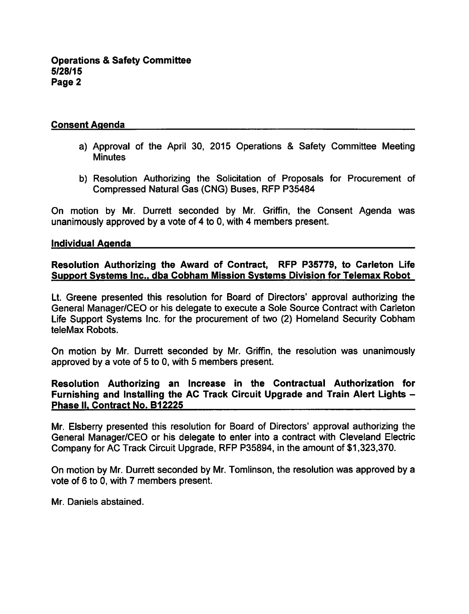### Consent Agenda

- a) Approval of the April 30, 2015 Operations & Safety Committee Meeting **Minutes**
- b) Resolution Authorizing the Solicitation of Proposals for Procurement of Compressed Natural Gas (CNG) Buses, RFP P35484

On motion by Mr. Durrett seconded by Mr. Griffin, the Consent Agenda was unanimously approved by a vote of  $4$  to 0, with  $4$  members present.

#### Individual Agenda

### Resolution Authorizing the Award of Contract, RFP P35779, to Carleton Life Support Systems Inc.. dba Cobham Mission Systems Division for Telemax Robot

Lt. Greene presented this resolution for Board of Directors' approval authorizing the General Manager/CEO or his delegate to execute a Sole Source Contract with Carleton Life Support Systems Inc. for the procurement of two (2) Homeland Security Cobham teleMax Robots.

On motion by Mr. Durrett seconded by Mr. Griffin, the resolution was unanimously approved by a vote of 5 to 0, with 5 members present.

### Resolution Authorizing an Increase in the Contractual Authorization for Furnishing and Installing the AC Track Circuit Upgrade and Train Alert Lights Phase II. Contract No. B12225

Mr. Elsberry presented this resolution for Board of Directors' approval authorizing the General Manager/CEO or his delegate to enter into a contract with Cleveland Electric Company for AC Track Circuit Upgrade, RFP P35894, in the amount of \$1,323,370.

On motion by Mr. Durrett seconded by Mr. Tomlinson, the resolution was approved by vote of 6 to 0, with 7 members present.

Mr. Daniels abstained.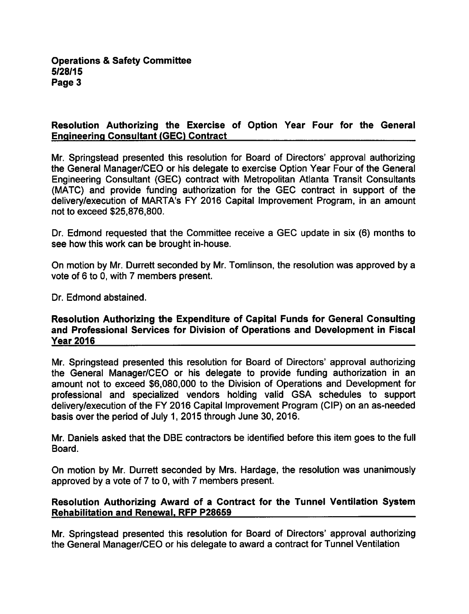### Resolution Authorizing the Exercise of Option Year Four for the General Engineering Consultant (GEC) Contract

Mr. Springstead presented this resolution for Board of Directors' approval authorizing the General Manager/CEO or his delegate to exercise Option Year Four of the General Engineering Consultant (GEC) contract with Metropolitan Atlanta Transit Consultants (MATC) and provide funding authorization for the GEC contract in support of the delivery/execution of MARTA's FY 2016 Capital Improvement Program, in an amount not to exceed \$25,876,800.

Dr. Edmond requested that the Committee receive a GEC update in six (6) months to see how this work can be brought in-house.

On motion by Mr. Durrett seconded by Mr. Tomlinson, the resolution was approved by vote of 6 to 0, with 7 members present.

Dr. Edmond abstained.

### Resolution Authorizing the Expenditure of Capital Funds for General Consulting and Professional Services for Division of Operations and Development in Fiscal Year 2016

Mr. Springstead presented this resolution for Board of Directors' approval authorizing the General Manager/CEO or his delegate to provide funding authorization in an amount not to exceed \$6,080,000 to the Division of Operations and Development for professional and specialized vendors holding valid GSA schedules to support delivery/execution of the FY 2016 Capital Improvement Program (CIP) on an as-needed basis over the period of July 1, 2015 through June 30, 2016.

Mr. Daniels asked that the DBE contractors be identified before this item goes to the full Board.

On motion by Mr. Durrett seconded by Mrs. Hardage, the resolution was unanimously approved by a vote of  $7$  to 0, with  $7$  members present.

### Resolution Authorizing Award of a Contract for the Tunnel Ventilation System Rehabilitation and Renewal. RFP P28659

Mr. Springstead presented this resolution for Board of Directors' approval authorizing the General Manager/CEO or his delegate to award a contract for Tunnel Ventilation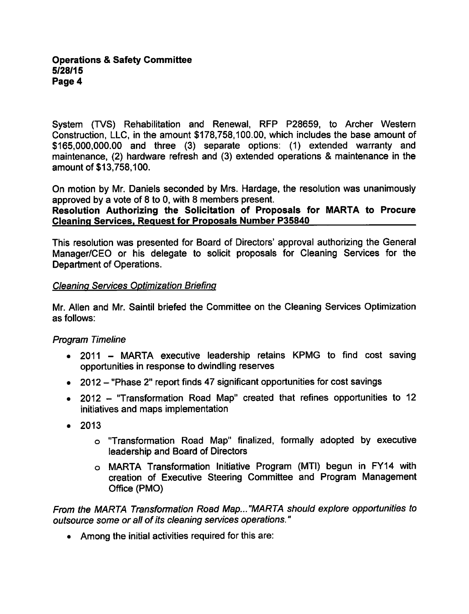System (TVS) Rehabilitation and Renewal, RFP P28659, to Archer Western Construction, LLC, in the amount \$178,758,100.00, which includes the base amount of \$165,000,000.00 and three (3) separate options: (1) extended warranty and maintenance, (2) hardware refresh and (3) extended operations  $\&$  maintenance in the amount of \$13,758,100.

On motion by Mr. Daniels seconded by Mrs. Hardage, the resolution was unanimously approved by a vote of  $8$  to 0, with  $8$  members present.

### Resolution Authorizing the Solicitation of Proposals for MARTA to Procure Cleaning Services. Request for Proposals Number P35840

This resolution was presented for Board of Directors' approval authorizing the General Manager/CEO or his delegate to solicit proposals for Cleaning Services for the Department of Operations.

### Cleaning Services Optimization Briefing

Mr. Allen and Mr. Saintil briefed the Committee on the Cleaning Services Optimization as follows:

# Program Timeline

- 2011 MARTA executive leadership retains KPMG to find cost saving opportunities in response to dwindling reserves
- 2012 "Phase 2" report finds 47 significant opportunities for cost savings
- 2012 "Transformation Road Map" created that refines opportunities to 12 initiatives and maps implementation
- $2013$ 
	- "Transformation Road Map" finalized, formally adopted by executive leadership and Board of Directors
	- MARTA Transformation Initiative Program (MTI) begun in FY14 with creation of Executive Steering Committee and Program Management Office (PMO)

From the MARTA Transformation Road Map... "MARTA should explore opportunities to outsource some or all of its cleaning services operations."

Among the initial activities required for this are: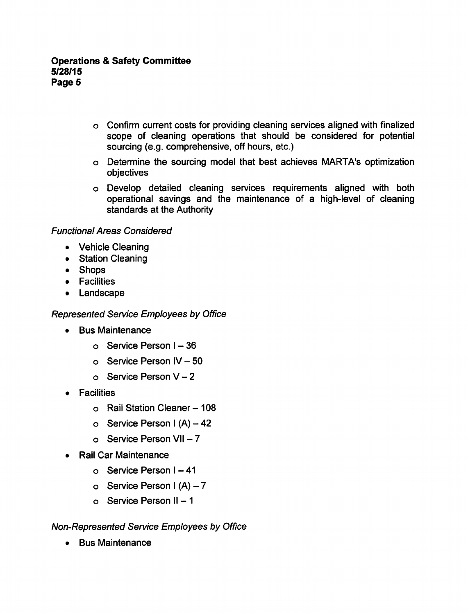- Confirm current costs for providing cleaning services aligned with finalized scope of cleaning operations that should be considered for potential sourcing (e.g. comprehensive, off hours, etc.)
- Determine the sourcing model that best achieves MARTA's optimization objectives
- Develop detailed cleaning services requirements aligned with both operational savings and the maintenance of a high-level of cleaning standards at the Authority

# Functional Areas Considered

- Vehicle Cleaning
- Station Cleaning
- Shops
- **•** Facilities
- Landscape  $\bullet$

### Represented Service Employees by Office

- Bus Maintenance  $\bullet$ 
	- $\circ$  Service Person I 36
	- $\circ$  Service Person IV 50
	- $\circ$  Service Person V 2
- Facilities
	- $\circ$  Rail Station Cleaner 108
	- $\circ$  Service Person I (A) 42
	- $\circ$  Service Person VII 7
- Rail Car Maintenance  $\bullet$ 
	- $\circ$  Service Person I 41
	- o Service Person  $(A) 7$
	- $\circ$  Service Person II 1

# Non-Represented Service Employees by Office

Bus Maintenance $\bullet$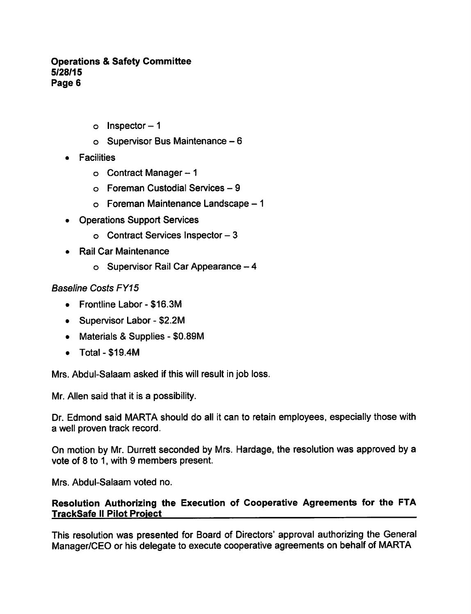- $\circ$  Inspector  $-1$
- $\circ$  Supervisor Bus Maintenance  $-6$
- Facilities
	- $\circ$  Contract Manager 1
	- o Foreman Custodial Services
	- o Foreman Maintenance Landscape 1
- Operations Support Services
	- $\circ$  Contract Services Inspector 3
- Rail Car Maintenance
	- $\circ$  Supervisor Rail Car Appearance  $-4$

## Baseline Costs FY15

- $\bullet$  Frontline Labor \$16.3M
- $\bullet$  Supervisor Labor \$2.2M
- Materials & Supplies \$0.89M
- $\bullet$  Total \$19.4M

Mrs. Abdul-Salaam asked if this will result in job loss.

Mr. Allen said that it is a possibility.

Dr. Edmond said MARTA should do all it can to retain employees, especially those with a well proven track record.

On motion by Mr. Durrett seconded by Mrs. Hardage, the resolution was approved by a vote of 8 to 1, with 9 members present.

Mrs. Abdul-Salaam voted no.

## Resolution Authorizing the Execution of Cooperative Agreements for the FTA TrackSafe II Pilot Project

This resolution was presented for Board of Directors' approval authorizing the General Manager/CEO or his delegate to execute cooperative agreements on behalf of MARTA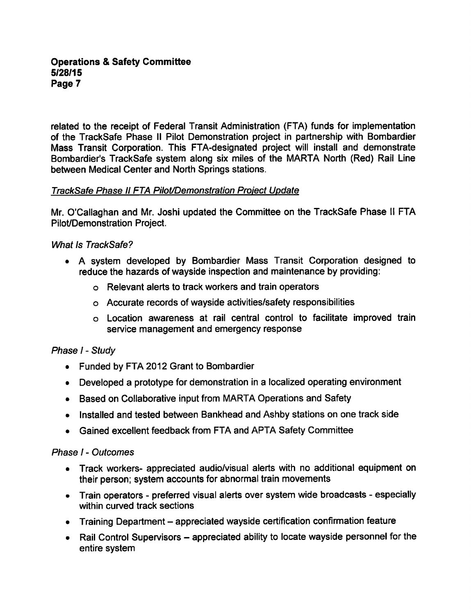related to the receipt of Federal Transit Administration (FTA) funds for implementation of the TrackSafe Phase II Pilot Demonstration project in partnership with Bombardier Mass Transit Corporation. This FTA-designated project will install and demonstrate Bombardier's TrackSafe system along six miles of the MARTA North (Red) Rail Line between Medical Center and North Springs stations.

# TrackSafe Phase II FTA Pilot/Demonstration Project Update

Mr. O'Callaghan and Mr. Joshi updated the Committee on the TrackSafe Phase II FTA Pilot/Demonstration Project.

## What Is TrackSafe?

- A system developed by Bombardier Mass Transit Corporation designed to reduce the hazards of wayside inspection and maintenance by providing:
	- Relevant alerts to track workers and train operators
	- Accurate records of wayside activities/safety responsibilities
	- Location awareness at rail central control to facilitate improved train service management and emergency response

# Phase I - Study

- Funded by FTA 2012 Grant to Bombardier
- Developed a prototype for demonstration in a localized operating environment
- Based on Collaborative input from MARTA Operations and Safety
- Installed and tested between Bankhead and Ashby stations on one track side
- Gained excellent feedback from FTA and APTA Safety Committee

### Phase I - Outcomes

- Track workers- appreciated audio/visual alerts with no additional equipment on their person; system accounts for abnormal train movements
- Train operators preferred visual alerts over system wide broadcasts especially within curved track sections
- Training Department appreciated wayside certification confirmation feature
- Rail Control Supervisors  $-$  appreciated ability to locate wayside personnel for the entire system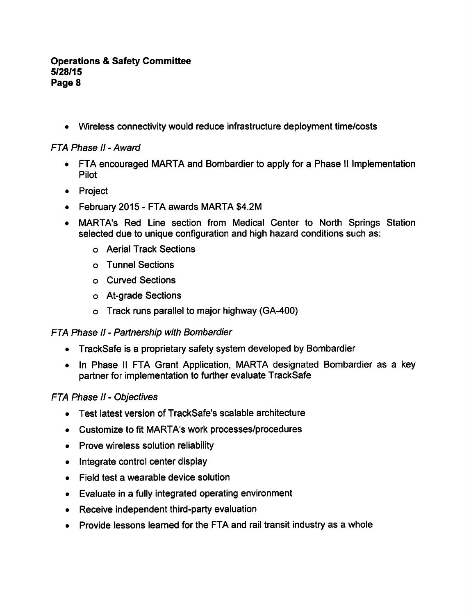Wireless connectivity would reduce infrastructure deployment time/costs

## FTA Phase II - Award

- FTA encouraged MARTA and Bombardier to apply for a Phase II Implementation Pilot
- Project
- February 2015 FTA awards MARTA \$4.2M
- MARTA's Red Line section from Medical Center to North Springs Station selected due to unique configuration and high hazard conditions such as:
	- Aerial Track Sections
	- Tunnel Sections
	- Curved Sections
	- At-grade Sections
	- Track runs parallel to major highway (GA-400)

# FTA Phase II - Partnership with Bombardier

- TrackSafe is a proprietary safety system developed by Bombardier
- In Phase II FTA Grant Application, MARTA designated Bombardier as a key partner for implementation to further evaluate TrackSafe

# **FTA Phase II - Objectives**

- Test latest version of TrackSafe's scalable architecture
- Customize to fit MARTA's work processes/procedures
- Prove wireless solution reliability
- Integrate control center display  $\bullet$
- Field test wearable device solution  $\bullet$
- Evaluate in a fully integrated operating environment  $\bullet$
- Receive independent third-party evaluation
- Provide lessons learned for the FTA and rail transit industry as a whole